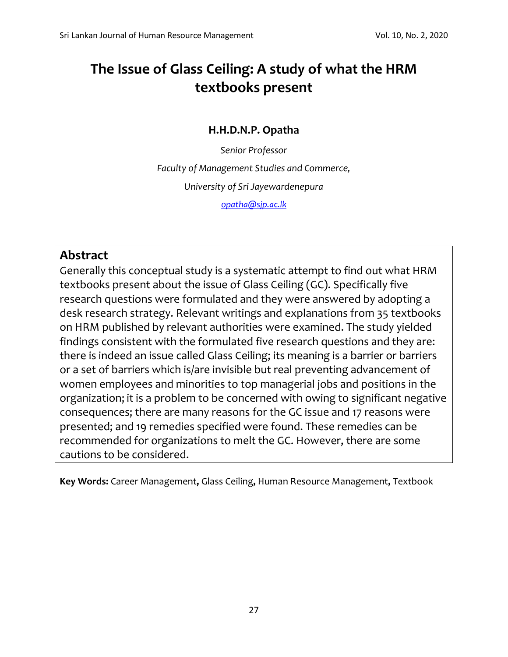# **The Issue of Glass Ceiling: A study of what the HRM textbooks present**

## **H.H.D.N.P. Opatha**

*Senior Professor Faculty of Management Studies and Commerce, University of Sri Jayewardenepura [opatha@sjp.ac.lk](mailto:opatha@sjp.ac.lk)*

## **Abstract**

Generally this conceptual study is a systematic attempt to find out what HRM textbooks present about the issue of Glass Ceiling (GC). Specifically five research questions were formulated and they were answered by adopting a desk research strategy. Relevant writings and explanations from 35 textbooks on HRM published by relevant authorities were examined. The study yielded findings consistent with the formulated five research questions and they are: there is indeed an issue called Glass Ceiling; its meaning is a barrier or barriers or a set of barriers which is/are invisible but real preventing advancement of women employees and minorities to top managerial jobs and positions in the organization; it is a problem to be concerned with owing to significant negative consequences; there are many reasons for the GC issue and 17 reasons were presented; and 19 remedies specified were found. These remedies can be recommended for organizations to melt the GC. However, there are some cautions to be considered.

**Key Words:** Career Management**,** Glass Ceiling**,** Human Resource Management**,** Textbook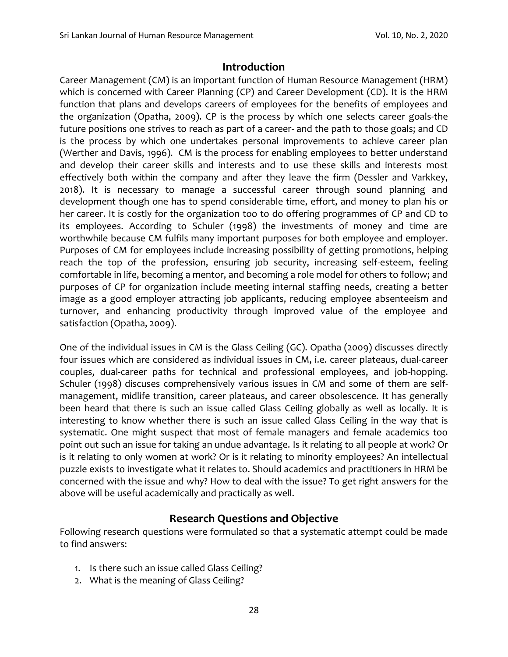#### **Introduction**

Career Management (CM) is an important function of Human Resource Management (HRM) which is concerned with Career Planning (CP) and Career Development (CD). It is the HRM function that plans and develops careers of employees for the benefits of employees and the organization (Opatha, 2009). CP is the process by which one selects career goals-the future positions one strives to reach as part of a career- and the path to those goals; and CD is the process by which one undertakes personal improvements to achieve career plan (Werther and Davis, 1996). CM is the process for enabling employees to better understand and develop their career skills and interests and to use these skills and interests most effectively both within the company and after they leave the firm (Dessler and Varkkey, 2018). It is necessary to manage a successful career through sound planning and development though one has to spend considerable time, effort, and money to plan his or her career. It is costly for the organization too to do offering programmes of CP and CD to its employees. According to Schuler (1998) the investments of money and time are worthwhile because CM fulfils many important purposes for both employee and employer. Purposes of CM for employees include increasing possibility of getting promotions, helping reach the top of the profession, ensuring job security, increasing self-esteem, feeling comfortable in life, becoming a mentor, and becoming a role model for others to follow; and purposes of CP for organization include meeting internal staffing needs, creating a better image as a good employer attracting job applicants, reducing employee absenteeism and turnover, and enhancing productivity through improved value of the employee and satisfaction (Opatha, 2009).

One of the individual issues in CM is the Glass Ceiling (GC). Opatha (2009) discusses directly four issues which are considered as individual issues in CM, i.e. career plateaus, dual-career couples, dual-career paths for technical and professional employees, and job-hopping. Schuler (1998) discuses comprehensively various issues in CM and some of them are selfmanagement, midlife transition, career plateaus, and career obsolescence. It has generally been heard that there is such an issue called Glass Ceiling globally as well as locally. It is interesting to know whether there is such an issue called Glass Ceiling in the way that is systematic. One might suspect that most of female managers and female academics too point out such an issue for taking an undue advantage. Is it relating to all people at work? Or is it relating to only women at work? Or is it relating to minority employees? An intellectual puzzle exists to investigate what it relates to. Should academics and practitioners in HRM be concerned with the issue and why? How to deal with the issue? To get right answers for the above will be useful academically and practically as well.

#### **Research Questions and Objective**

Following research questions were formulated so that a systematic attempt could be made to find answers:

- 1. Is there such an issue called Glass Ceiling?
- 2. What is the meaning of Glass Ceiling?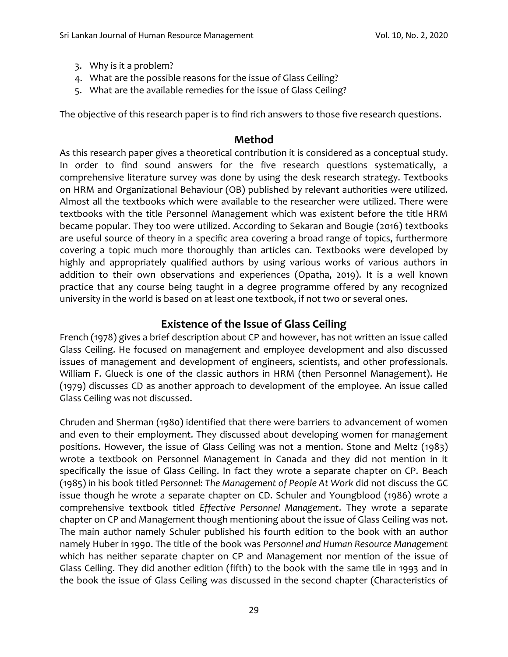- 3. Why is it a problem?
- 4. What are the possible reasons for the issue of Glass Ceiling?
- 5. What are the available remedies for the issue of Glass Ceiling?

The objective of this research paper is to find rich answers to those five research questions.

#### **Method**

As this research paper gives a theoretical contribution it is considered as a conceptual study. In order to find sound answers for the five research questions systematically, a comprehensive literature survey was done by using the desk research strategy. Textbooks on HRM and Organizational Behaviour (OB) published by relevant authorities were utilized. Almost all the textbooks which were available to the researcher were utilized. There were textbooks with the title Personnel Management which was existent before the title HRM became popular. They too were utilized. According to Sekaran and Bougie (2016) textbooks are useful source of theory in a specific area covering a broad range of topics, furthermore covering a topic much more thoroughly than articles can. Textbooks were developed by highly and appropriately qualified authors by using various works of various authors in addition to their own observations and experiences (Opatha, 2019). It is a well known practice that any course being taught in a degree programme offered by any recognized university in the world is based on at least one textbook, if not two or several ones.

## **Existence of the Issue of Glass Ceiling**

French (1978) gives a brief description about CP and however, has not written an issue called Glass Ceiling. He focused on management and employee development and also discussed issues of management and development of engineers, scientists, and other professionals. William F. Glueck is one of the classic authors in HRM (then Personnel Management). He (1979) discusses CD as another approach to development of the employee. An issue called Glass Ceiling was not discussed.

Chruden and Sherman (1980) identified that there were barriers to advancement of women and even to their employment. They discussed about developing women for management positions. However, the issue of Glass Ceiling was not a mention. Stone and Meltz (1983) wrote a textbook on Personnel Management in Canada and they did not mention in it specifically the issue of Glass Ceiling. In fact they wrote a separate chapter on CP. Beach (1985) in his book titled *Personnel: The Management of People At Work* did not discuss the GC issue though he wrote a separate chapter on CD. Schuler and Youngblood (1986) wrote a comprehensive textbook titled *Effective Personnel Management*. They wrote a separate chapter on CP and Management though mentioning about the issue of Glass Ceiling was not. The main author namely Schuler published his fourth edition to the book with an author namely Huber in 1990. The title of the book was *Personnel and Human Resource Management* which has neither separate chapter on CP and Management nor mention of the issue of Glass Ceiling. They did another edition (fifth) to the book with the same tile in 1993 and in the book the issue of Glass Ceiling was discussed in the second chapter (Characteristics of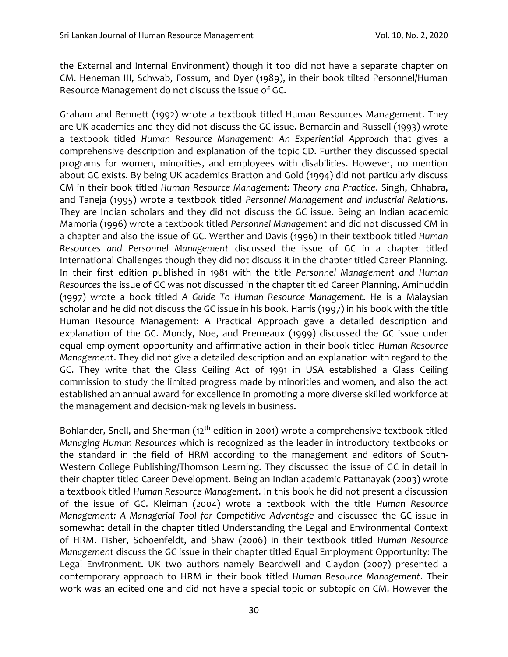the External and Internal Environment) though it too did not have a separate chapter on CM. Heneman III, Schwab, Fossum, and Dyer (1989), in their book tilted Personnel/Human Resource Management do not discuss the issue of GC.

Graham and Bennett (1992) wrote a textbook titled Human Resources Management. They are UK academics and they did not discuss the GC issue. Bernardin and Russell (1993) wrote a textbook titled *Human Resource Management: An Experiential Approach* that gives a comprehensive description and explanation of the topic CD. Further they discussed special programs for women, minorities, and employees with disabilities. However, no mention about GC exists. By being UK academics Bratton and Gold (1994) did not particularly discuss CM in their book titled *Human Resource Management: Theory and Practice*. Singh, Chhabra, and Taneja (1995) wrote a textbook titled *Personnel Management and Industrial Relations*. They are Indian scholars and they did not discuss the GC issue. Being an Indian academic Mamoria (1996) wrote a textbook titled *Personnel Management* and did not discussed CM in a chapter and also the issue of GC. Werther and Davis (1996) in their textbook titled *Human Resources and Personnel Management* discussed the issue of GC in a chapter titled International Challenges though they did not discuss it in the chapter titled Career Planning. In their first edition published in 1981 with the title *Personnel Management and Human Resources* the issue of GC was not discussed in the chapter titled Career Planning. Aminuddin (1997) wrote a book titled *A Guide To Human Resource Management*. He is a Malaysian scholar and he did not discuss the GC issue in his book. Harris (1997) in his book with the title Human Resource Management: A Practical Approach gave a detailed description and explanation of the GC. Mondy, Noe, and Premeaux (1999) discussed the GC issue under equal employment opportunity and affirmative action in their book titled *Human Resource Management*. They did not give a detailed description and an explanation with regard to the GC. They write that the Glass Ceiling Act of 1991 in USA established a Glass Ceiling commission to study the limited progress made by minorities and women, and also the act established an annual award for excellence in promoting a more diverse skilled workforce at the management and decision-making levels in business.

Bohlander, Snell, and Sherman (12<sup>th</sup> edition in 2001) wrote a comprehensive textbook titled *Managing Human Resources* which is recognized as the leader in introductory textbooks or the standard in the field of HRM according to the management and editors of South-Western College Publishing/Thomson Learning. They discussed the issue of GC in detail in their chapter titled Career Development. Being an Indian academic Pattanayak (2003) wrote a textbook titled *Human Resource Management*. In this book he did not present a discussion of the issue of GC. Kleiman (2004) wrote a textbook with the title *Human Resource Management: A Managerial Tool for Competitive Advantage* and discussed the GC issue in somewhat detail in the chapter titled Understanding the Legal and Environmental Context of HRM. Fisher, Schoenfeldt, and Shaw (2006) in their textbook titled *Human Resource Management* discuss the GC issue in their chapter titled Equal Employment Opportunity: The Legal Environment. UK two authors namely Beardwell and Claydon (2007) presented a contemporary approach to HRM in their book titled *Human Resource Management*. Their work was an edited one and did not have a special topic or subtopic on CM. However the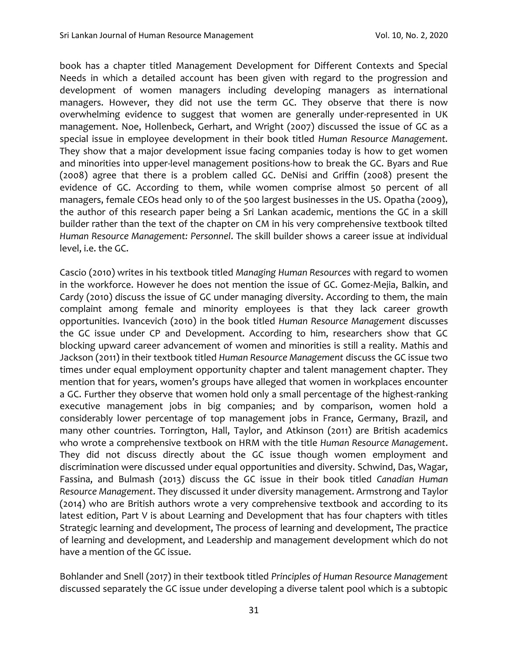book has a chapter titled Management Development for Different Contexts and Special Needs in which a detailed account has been given with regard to the progression and development of women managers including developing managers as international managers. However, they did not use the term GC. They observe that there is now overwhelming evidence to suggest that women are generally under-represented in UK management. Noe, Hollenbeck, Gerhart, and Wright (2007) discussed the issue of GC as a special issue in employee development in their book titled *Human Resource Management.*  They show that a major development issue facing companies today is how to get women and minorities into upper-level management positions-how to break the GC. Byars and Rue (2008) agree that there is a problem called GC. DeNisi and Griffin (2008) present the evidence of GC. According to them, while women comprise almost 50 percent of all managers, female CEOs head only 10 of the 500 largest businesses in the US. Opatha (2009), the author of this research paper being a Sri Lankan academic, mentions the GC in a skill builder rather than the text of the chapter on CM in his very comprehensive textbook tilted *Human Resource Management: Personnel*. The skill builder shows a career issue at individual level, i.e. the GC.

Cascio (2010) writes in his textbook titled *Managing Human Resources* with regard to women in the workforce. However he does not mention the issue of GC. Gomez-Mejia, Balkin, and Cardy (2010) discuss the issue of GC under managing diversity. According to them, the main complaint among female and minority employees is that they lack career growth opportunities. Ivancevich (2010) in the book titled *Human Resource Management* discusses the GC issue under CP and Development. According to him, researchers show that GC blocking upward career advancement of women and minorities is still a reality. Mathis and Jackson (2011) in their textbook titled *Human Resource Management* discuss the GC issue two times under equal employment opportunity chapter and talent management chapter. They mention that for years, women's groups have alleged that women in workplaces encounter a GC. Further they observe that women hold only a small percentage of the highest-ranking executive management jobs in big companies; and by comparison, women hold a considerably lower percentage of top management jobs in France, Germany, Brazil, and many other countries. Torrington, Hall, Taylor, and Atkinson (2011) are British academics who wrote a comprehensive textbook on HRM with the title *Human Resource Management*. They did not discuss directly about the GC issue though women employment and discrimination were discussed under equal opportunities and diversity. Schwind, Das, Wagar, Fassina, and Bulmash (2013) discuss the GC issue in their book titled *Canadian Human Resource Management*. They discussed it under diversity management. Armstrong and Taylor (2014) who are British authors wrote a very comprehensive textbook and according to its latest edition, Part V is about Learning and Development that has four chapters with titles Strategic learning and development, The process of learning and development, The practice of learning and development, and Leadership and management development which do not have a mention of the GC issue.

Bohlander and Snell (2017) in their textbook titled *Principles of Human Resource Management* discussed separately the GC issue under developing a diverse talent pool which is a subtopic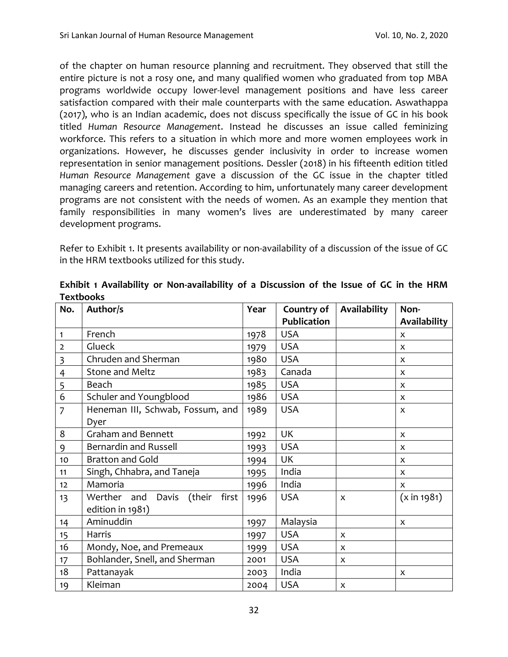of the chapter on human resource planning and recruitment. They observed that still the entire picture is not a rosy one, and many qualified women who graduated from top MBA programs worldwide occupy lower-level management positions and have less career satisfaction compared with their male counterparts with the same education. Aswathappa (2017), who is an Indian academic, does not discuss specifically the issue of GC in his book titled *Human Resource Management*. Instead he discusses an issue called feminizing workforce. This refers to a situation in which more and more women employees work in organizations. However, he discusses gender inclusivity in order to increase women representation in senior management positions. Dessler (2018) in his fifteenth edition titled *Human Resource Management* gave a discussion of the GC issue in the chapter titled managing careers and retention. According to him, unfortunately many career development programs are not consistent with the needs of women. As an example they mention that family responsibilities in many women's lives are underestimated by many career development programs.

Refer to Exhibit 1. It presents availability or non-availability of a discussion of the issue of GC in the HRM textbooks utilized for this study.

| No.                     | Author/s                                | Year | Country of         | Availability | Non-           |
|-------------------------|-----------------------------------------|------|--------------------|--------------|----------------|
|                         |                                         |      | <b>Publication</b> |              | Availability   |
| $\mathbf{1}$            | French                                  | 1978 | <b>USA</b>         |              | X              |
| $\overline{2}$          | Glueck                                  | 1979 | <b>USA</b>         |              | X              |
| $\overline{\mathbf{3}}$ | Chruden and Sherman                     | 1980 | <b>USA</b>         |              | X              |
| $\overline{4}$          | Stone and Meltz                         | 1983 | Canada             |              | $\mathsf{x}$   |
| 5                       | Beach                                   | 1985 | <b>USA</b>         |              | X              |
| 6                       | Schuler and Youngblood                  | 1986 | <b>USA</b>         |              | X              |
| $\overline{7}$          | Heneman III, Schwab, Fossum, and        | 1989 | <b>USA</b>         |              | X              |
|                         | Dyer                                    |      |                    |              |                |
| 8                       | <b>Graham and Bennett</b>               | 1992 | UK                 |              | $\mathsf{x}$   |
| 9                       | Bernardin and Russell                   | 1993 | <b>USA</b>         |              | X              |
| 10                      | <b>Bratton and Gold</b>                 | 1994 | UK                 |              | X              |
| 11                      | Singh, Chhabra, and Taneja              | 1995 | India              |              | $\mathsf{x}$   |
| 12                      | Mamoria                                 | 1996 | India              |              | X              |
| 13                      | first<br>Werther and<br>Davis<br>(their | 1996 | <b>USA</b>         | X            | $(x \in 1981)$ |
|                         | edition in 1981)                        |      |                    |              |                |
| 14                      | Aminuddin                               | 1997 | Malaysia           |              | X              |
| 15                      | Harris                                  | 1997 | <b>USA</b>         | X            |                |
| 16                      | Mondy, Noe, and Premeaux                | 1999 | <b>USA</b>         | X            |                |
| 17                      | Bohlander, Snell, and Sherman           | 2001 | <b>USA</b>         | X            |                |
| 18                      | Pattanayak                              | 2003 | India              |              | X              |
| 19                      | Kleiman                                 | 2004 | <b>USA</b>         | X            |                |

**Exhibit 1 Availability or Non-availability of a Discussion of the Issue of GC in the HRM Textbooks**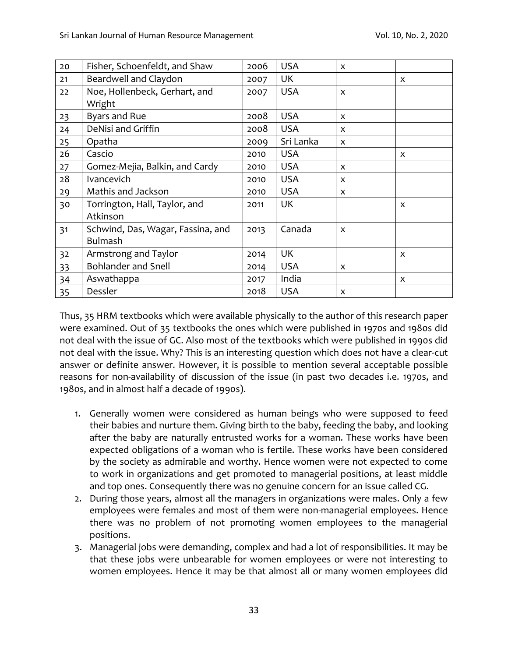| 20 | Fisher, Schoenfeldt, and Shaw                       | 2006 | <b>USA</b> | X |   |
|----|-----------------------------------------------------|------|------------|---|---|
| 21 | Beardwell and Claydon                               | 2007 | UK         |   | X |
| 22 | Noe, Hollenbeck, Gerhart, and<br>Wright             | 2007 | <b>USA</b> | X |   |
| 23 | <b>Byars and Rue</b>                                | 2008 | <b>USA</b> | X |   |
| 24 | DeNisi and Griffin                                  | 2008 | <b>USA</b> | X |   |
| 25 | Opatha                                              | 2009 | Sri Lanka  | X |   |
| 26 | Cascio                                              | 2010 | <b>USA</b> |   | X |
| 27 | Gomez-Mejia, Balkin, and Cardy                      | 2010 | <b>USA</b> | X |   |
| 28 | Ivancevich                                          | 2010 | <b>USA</b> | X |   |
| 29 | Mathis and Jackson                                  | 2010 | <b>USA</b> | X |   |
| 30 | Torrington, Hall, Taylor, and<br>Atkinson           | 2011 | UK         |   | X |
| 31 | Schwind, Das, Wagar, Fassina, and<br><b>Bulmash</b> | 2013 | Canada     | X |   |
| 32 | Armstrong and Taylor                                | 2014 | UK         |   | X |
| 33 | <b>Bohlander and Snell</b>                          | 2014 | <b>USA</b> | X |   |
| 34 | Aswathappa                                          | 2017 | India      |   | X |
| 35 | Dessler                                             | 2018 | <b>USA</b> | X |   |

Thus, 35 HRM textbooks which were available physically to the author of this research paper were examined. Out of 35 textbooks the ones which were published in 1970s and 1980s did not deal with the issue of GC. Also most of the textbooks which were published in 1990s did not deal with the issue. Why? This is an interesting question which does not have a clear-cut answer or definite answer. However, it is possible to mention several acceptable possible reasons for non-availability of discussion of the issue (in past two decades i.e. 1970s, and 1980s, and in almost half a decade of 1990s).

- 1. Generally women were considered as human beings who were supposed to feed their babies and nurture them. Giving birth to the baby, feeding the baby, and looking after the baby are naturally entrusted works for a woman. These works have been expected obligations of a woman who is fertile. These works have been considered by the society as admirable and worthy. Hence women were not expected to come to work in organizations and get promoted to managerial positions, at least middle and top ones. Consequently there was no genuine concern for an issue called CG.
- 2. During those years, almost all the managers in organizations were males. Only a few employees were females and most of them were non-managerial employees. Hence there was no problem of not promoting women employees to the managerial positions.
- 3. Managerial jobs were demanding, complex and had a lot of responsibilities. It may be that these jobs were unbearable for women employees or were not interesting to women employees. Hence it may be that almost all or many women employees did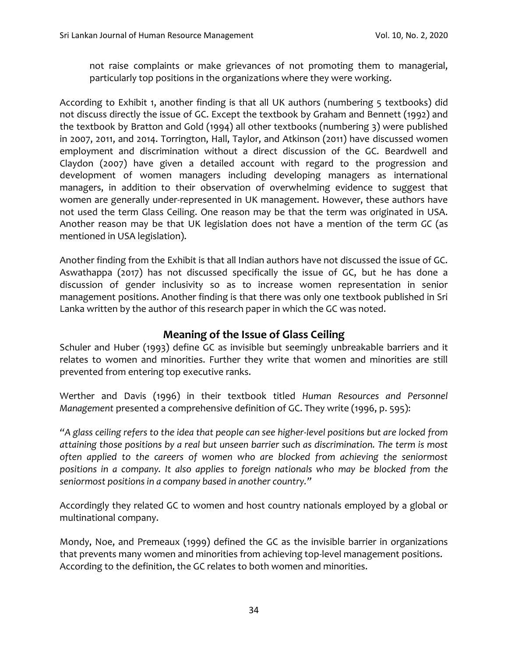not raise complaints or make grievances of not promoting them to managerial, particularly top positions in the organizations where they were working.

According to Exhibit 1, another finding is that all UK authors (numbering 5 textbooks) did not discuss directly the issue of GC. Except the textbook by Graham and Bennett (1992) and the textbook by Bratton and Gold (1994) all other textbooks (numbering 3) were published in 2007, 2011, and 2014. Torrington, Hall, Taylor, and Atkinson (2011) have discussed women employment and discrimination without a direct discussion of the GC. Beardwell and Claydon (2007) have given a detailed account with regard to the progression and development of women managers including developing managers as international managers, in addition to their observation of overwhelming evidence to suggest that women are generally under-represented in UK management. However, these authors have not used the term Glass Ceiling. One reason may be that the term was originated in USA. Another reason may be that UK legislation does not have a mention of the term *GC* (as mentioned in USA legislation).

Another finding from the Exhibit is that all Indian authors have not discussed the issue of GC. Aswathappa (2017) has not discussed specifically the issue of GC, but he has done a discussion of gender inclusivity so as to increase women representation in senior management positions. Another finding is that there was only one textbook published in Sri Lanka written by the author of this research paper in which the GC was noted.

## **Meaning of the Issue of Glass Ceiling**

Schuler and Huber (1993) define GC as invisible but seemingly unbreakable barriers and it relates to women and minorities. Further they write that women and minorities are still prevented from entering top executive ranks.

Werther and Davis (1996) in their textbook titled *Human Resources and Personnel Management* presented a comprehensive definition of GC. They write (1996, p. 595):

*"A glass ceiling refers to the idea that people can see higher-level positions but are locked from attaining those positions by a real but unseen barrier such as discrimination. The term is most often applied to the careers of women who are blocked from achieving the seniormost positions in a company. It also applies to foreign nationals who may be blocked from the seniormost positions in a company based in another country."*

Accordingly they related GC to women and host country nationals employed by a global or multinational company.

Mondy, Noe, and Premeaux (1999) defined the GC as the invisible barrier in organizations that prevents many women and minorities from achieving top-level management positions. According to the definition, the GC relates to both women and minorities.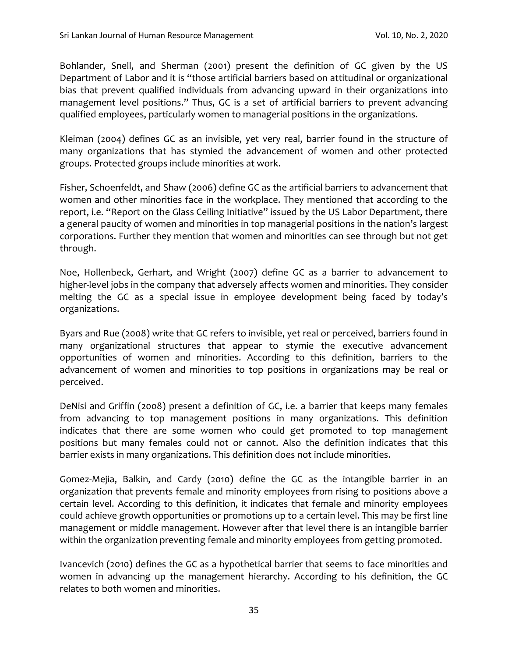Bohlander, Snell, and Sherman (2001) present the definition of GC given by the US Department of Labor and it is "those artificial barriers based on attitudinal or organizational bias that prevent qualified individuals from advancing upward in their organizations into management level positions." Thus, GC is a set of artificial barriers to prevent advancing qualified employees, particularly women to managerial positions in the organizations.

Kleiman (2004) defines GC as an invisible, yet very real, barrier found in the structure of many organizations that has stymied the advancement of women and other protected groups. Protected groups include minorities at work.

Fisher, Schoenfeldt, and Shaw (2006) define GC as the artificial barriers to advancement that women and other minorities face in the workplace. They mentioned that according to the report, i.e. "Report on the Glass Ceiling Initiative" issued by the US Labor Department, there a general paucity of women and minorities in top managerial positions in the nation's largest corporations. Further they mention that women and minorities can see through but not get through.

Noe, Hollenbeck, Gerhart, and Wright (2007) define GC as a barrier to advancement to higher-level jobs in the company that adversely affects women and minorities. They consider melting the GC as a special issue in employee development being faced by today's organizations.

Byars and Rue (2008) write that GC refers to invisible, yet real or perceived, barriers found in many organizational structures that appear to stymie the executive advancement opportunities of women and minorities. According to this definition, barriers to the advancement of women and minorities to top positions in organizations may be real or perceived.

DeNisi and Griffin (2008) present a definition of GC, i.e. a barrier that keeps many females from advancing to top management positions in many organizations. This definition indicates that there are some women who could get promoted to top management positions but many females could not or cannot. Also the definition indicates that this barrier exists in many organizations. This definition does not include minorities.

Gomez-Mejia, Balkin, and Cardy (2010) define the GC as the intangible barrier in an organization that prevents female and minority employees from rising to positions above a certain level. According to this definition, it indicates that female and minority employees could achieve growth opportunities or promotions up to a certain level. This may be first line management or middle management. However after that level there is an intangible barrier within the organization preventing female and minority employees from getting promoted.

Ivancevich (2010) defines the GC as a hypothetical barrier that seems to face minorities and women in advancing up the management hierarchy. According to his definition, the GC relates to both women and minorities.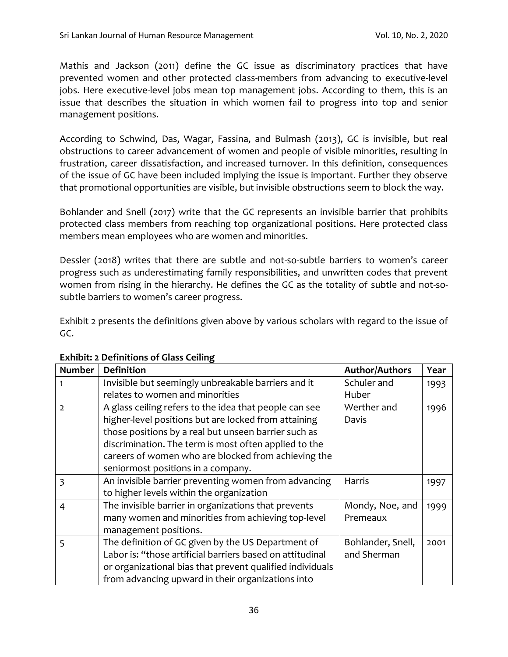Mathis and Jackson (2011) define the GC issue as discriminatory practices that have prevented women and other protected class-members from advancing to executive-level jobs. Here executive-level jobs mean top management jobs. According to them, this is an issue that describes the situation in which women fail to progress into top and senior management positions.

According to Schwind, Das, Wagar, Fassina, and Bulmash (2013), GC is invisible, but real obstructions to career advancement of women and people of visible minorities, resulting in frustration, career dissatisfaction, and increased turnover. In this definition, consequences of the issue of GC have been included implying the issue is important. Further they observe that promotional opportunities are visible, but invisible obstructions seem to block the way.

Bohlander and Snell (2017) write that the GC represents an invisible barrier that prohibits protected class members from reaching top organizational positions. Here protected class members mean employees who are women and minorities.

Dessler (2018) writes that there are subtle and not-so-subtle barriers to women's career progress such as underestimating family responsibilities, and unwritten codes that prevent women from rising in the hierarchy. He defines the GC as the totality of subtle and not-sosubtle barriers to women's career progress.

Exhibit 2 presents the definitions given above by various scholars with regard to the issue of GC.

| <b>Number</b>  | <b>Definition</b>                                         | <b>Author/Authors</b> | Year |
|----------------|-----------------------------------------------------------|-----------------------|------|
|                | Invisible but seemingly unbreakable barriers and it       | Schuler and           | 1993 |
|                | relates to women and minorities                           | Huber                 |      |
| $\overline{2}$ | A glass ceiling refers to the idea that people can see    | Werther and           | 1996 |
|                | higher-level positions but are locked from attaining      | Davis                 |      |
|                | those positions by a real but unseen barrier such as      |                       |      |
|                | discrimination. The term is most often applied to the     |                       |      |
|                | careers of women who are blocked from achieving the       |                       |      |
|                | seniormost positions in a company.                        |                       |      |
| $\overline{3}$ | An invisible barrier preventing women from advancing      | Harris                | 1997 |
|                | to higher levels within the organization                  |                       |      |
| 4              | The invisible barrier in organizations that prevents      | Mondy, Noe, and       | 1999 |
|                | many women and minorities from achieving top-level        | Premeaux              |      |
|                | management positions.                                     |                       |      |
| 5              | The definition of GC given by the US Department of        | Bohlander, Snell,     | 2001 |
|                | Labor is: "those artificial barriers based on attitudinal | and Sherman           |      |
|                | or organizational bias that prevent qualified individuals |                       |      |
|                | from advancing upward in their organizations into         |                       |      |

#### **Exhibit: 2 Definitions of Glass Ceiling**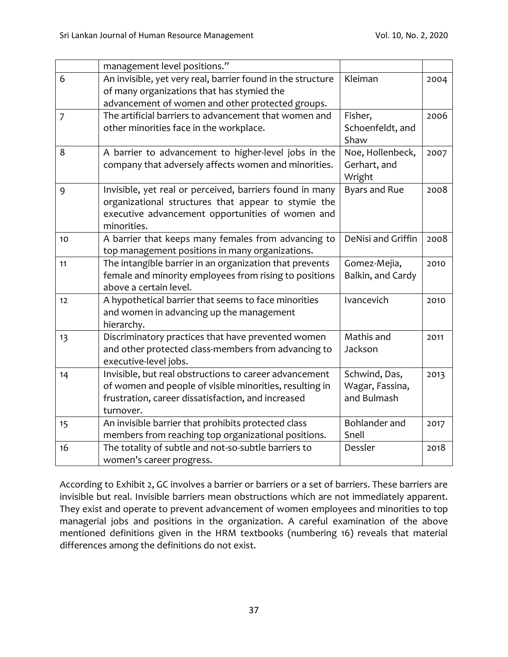|                | management level positions."                                                                                                                                                         |                                                 |      |
|----------------|--------------------------------------------------------------------------------------------------------------------------------------------------------------------------------------|-------------------------------------------------|------|
| 6              | An invisible, yet very real, barrier found in the structure                                                                                                                          | Kleiman                                         | 2004 |
|                | of many organizations that has stymied the<br>advancement of women and other protected groups.                                                                                       |                                                 |      |
| $\overline{7}$ | The artificial barriers to advancement that women and                                                                                                                                | Fisher,                                         | 2006 |
|                | other minorities face in the workplace.                                                                                                                                              | Schoenfeldt, and<br>Shaw                        |      |
| 8              | A barrier to advancement to higher-level jobs in the<br>company that adversely affects women and minorities.                                                                         | Noe, Hollenbeck,<br>Gerhart, and<br>Wright      | 2007 |
| 9              | Invisible, yet real or perceived, barriers found in many<br>organizational structures that appear to stymie the<br>executive advancement opportunities of women and<br>minorities.   | <b>Byars and Rue</b>                            | 2008 |
| 10             | A barrier that keeps many females from advancing to<br>top management positions in many organizations.                                                                               | DeNisi and Griffin                              | 2008 |
| 11             | The intangible barrier in an organization that prevents<br>female and minority employees from rising to positions<br>above a certain level.                                          | Gomez-Mejia,<br>Balkin, and Cardy               | 2010 |
| 12             | A hypothetical barrier that seems to face minorities<br>and women in advancing up the management<br>hierarchy.                                                                       | Ivancevich                                      | 2010 |
| 13             | Discriminatory practices that have prevented women<br>and other protected class-members from advancing to<br>executive-level jobs.                                                   | Mathis and<br>Jackson                           | 2011 |
| 14             | Invisible, but real obstructions to career advancement<br>of women and people of visible minorities, resulting in<br>frustration, career dissatisfaction, and increased<br>turnover. | Schwind, Das,<br>Wagar, Fassina,<br>and Bulmash | 2013 |
| 15             | An invisible barrier that prohibits protected class<br>members from reaching top organizational positions.                                                                           | Bohlander and<br>Snell                          | 2017 |
| 16             | The totality of subtle and not-so-subtle barriers to<br>women's career progress.                                                                                                     | Dessler                                         | 2018 |

According to Exhibit 2, GC involves a barrier or barriers or a set of barriers. These barriers are invisible but real. Invisible barriers mean obstructions which are not immediately apparent. They exist and operate to prevent advancement of women employees and minorities to top managerial jobs and positions in the organization. A careful examination of the above mentioned definitions given in the HRM textbooks (numbering 16) reveals that material differences among the definitions do not exist.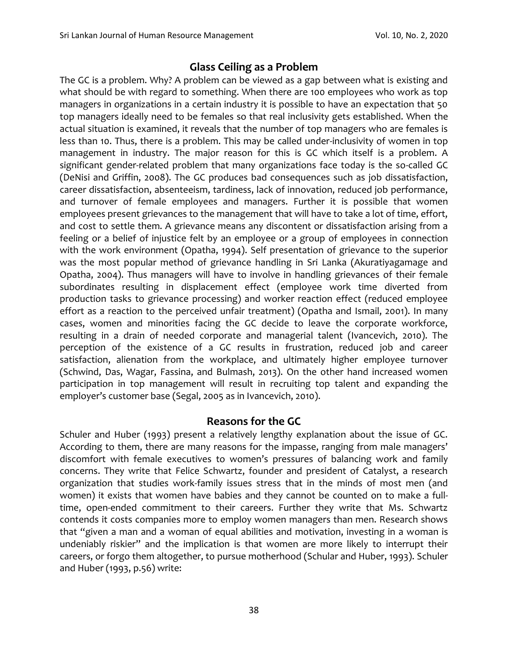## **Glass Ceiling as a Problem**

The GC is a problem. Why? A problem can be viewed as a gap between what is existing and what should be with regard to something. When there are 100 employees who work as top managers in organizations in a certain industry it is possible to have an expectation that 50 top managers ideally need to be females so that real inclusivity gets established. When the actual situation is examined, it reveals that the number of top managers who are females is less than 10. Thus, there is a problem. This may be called under-inclusivity of women in top management in industry. The major reason for this is GC which itself is a problem. A significant gender-related problem that many organizations face today is the so-called GC (DeNisi and Griffin, 2008). The GC produces bad consequences such as job dissatisfaction, career dissatisfaction, absenteeism, tardiness, lack of innovation, reduced job performance, and turnover of female employees and managers. Further it is possible that women employees present grievances to the management that will have to take a lot of time, effort, and cost to settle them. A grievance means any discontent or dissatisfaction arising from a feeling or a belief of injustice felt by an employee or a group of employees in connection with the work environment (Opatha, 1994). Self presentation of grievance to the superior was the most popular method of grievance handling in Sri Lanka (Akuratiyagamage and Opatha, 2004). Thus managers will have to involve in handling grievances of their female subordinates resulting in displacement effect (employee work time diverted from production tasks to grievance processing) and worker reaction effect (reduced employee effort as a reaction to the perceived unfair treatment) (Opatha and Ismail, 2001). In many cases, women and minorities facing the GC decide to leave the corporate workforce, resulting in a drain of needed corporate and managerial talent (Ivancevich, 2010). The perception of the existence of a GC results in frustration, reduced job and career satisfaction, alienation from the workplace, and ultimately higher employee turnover (Schwind, Das, Wagar, Fassina, and Bulmash, 2013). On the other hand increased women participation in top management will result in recruiting top talent and expanding the employer's customer base (Segal, 2005 as in Ivancevich, 2010).

#### **Reasons for the GC**

Schuler and Huber (1993) present a relatively lengthy explanation about the issue of GC. According to them, there are many reasons for the impasse, ranging from male managers' discomfort with female executives to women's pressures of balancing work and family concerns. They write that Felice Schwartz, founder and president of Catalyst, a research organization that studies work-family issues stress that in the minds of most men (and women) it exists that women have babies and they cannot be counted on to make a fulltime, open-ended commitment to their careers. Further they write that Ms. Schwartz contends it costs companies more to employ women managers than men. Research shows that "given a man and a woman of equal abilities and motivation, investing in a woman is undeniably riskier" and the implication is that women are more likely to interrupt their careers, or forgo them altogether, to pursue motherhood (Schular and Huber, 1993). Schuler and Huber (1993, p.56) write: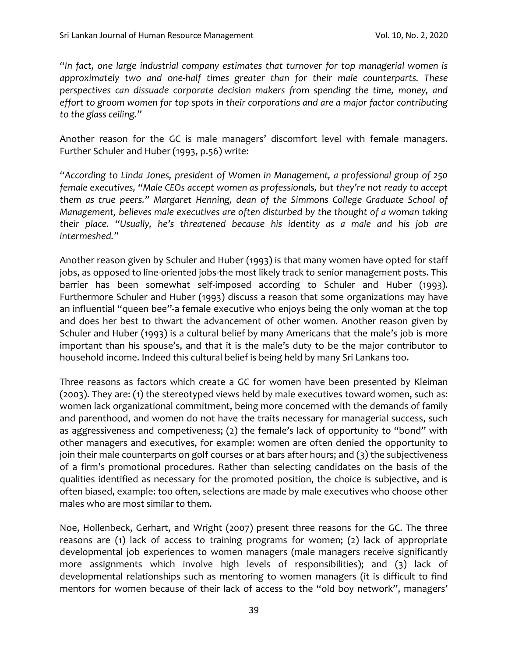*"In fact, one large industrial company estimates that turnover for top managerial women is approximately two and one-half times greater than for their male counterparts. These perspectives can dissuade corporate decision makers from spending the time, money, and effort to groom women for top spots in their corporations and are a major factor contributing to the glass ceiling."*

Another reason for the GC is male managers' discomfort level with female managers. Further Schuler and Huber (1993, p.56) write:

*"According to Linda Jones, president of Women in Management, a professional group of 250 female executives, "Male CEOs accept women as professionals, but they're not ready to accept them as true peers." Margaret Henning, dean of the Simmons College Graduate School of Management, believes male executives are often disturbed by the thought of a woman taking their place. "Usually, he's threatened because his identity as a male and his job are intermeshed."*

Another reason given by Schuler and Huber (1993) is that many women have opted for staff jobs, as opposed to line-oriented jobs-the most likely track to senior management posts. This barrier has been somewhat self-imposed according to Schuler and Huber (1993). Furthermore Schuler and Huber (1993) discuss a reason that some organizations may have an influential "queen bee''-a female executive who enjoys being the only woman at the top and does her best to thwart the advancement of other women. Another reason given by Schuler and Huber (1993) is a cultural belief by many Americans that the male's job is more important than his spouse's, and that it is the male's duty to be the major contributor to household income. Indeed this cultural belief is being held by many Sri Lankans too.

Three reasons as factors which create a GC for women have been presented by Kleiman (2003). They are: (1) the stereotyped views held by male executives toward women, such as: women lack organizational commitment, being more concerned with the demands of family and parenthood, and women do not have the traits necessary for managerial success, such as aggressiveness and competiveness; (2) the female's lack of opportunity to "bond" with other managers and executives, for example: women are often denied the opportunity to join their male counterparts on golf courses or at bars after hours; and (3) the subjectiveness of a firm's promotional procedures. Rather than selecting candidates on the basis of the qualities identified as necessary for the promoted position, the choice is subjective, and is often biased, example: too often, selections are made by male executives who choose other males who are most similar to them.

Noe, Hollenbeck, Gerhart, and Wright (2007) present three reasons for the GC. The three reasons are (1) lack of access to training programs for women; (2) lack of appropriate developmental job experiences to women managers (male managers receive significantly more assignments which involve high levels of responsibilities); and (3) lack of developmental relationships such as mentoring to women managers (it is difficult to find mentors for women because of their lack of access to the "old boy network", managers'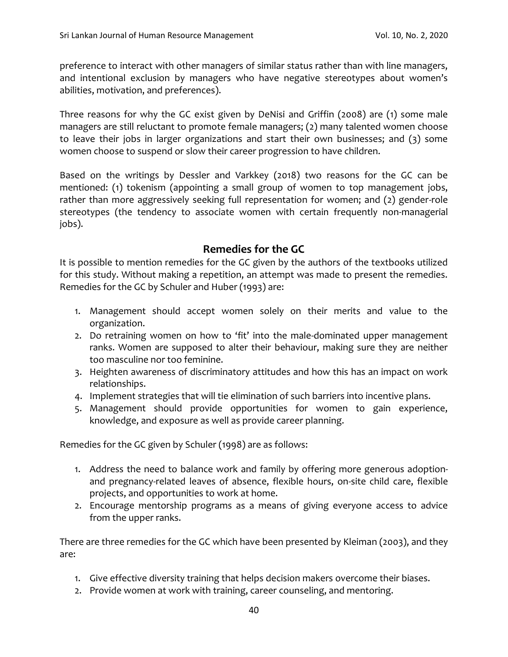preference to interact with other managers of similar status rather than with line managers, and intentional exclusion by managers who have negative stereotypes about women's abilities, motivation, and preferences).

Three reasons for why the GC exist given by DeNisi and Griffin (2008) are (1) some male managers are still reluctant to promote female managers; (2) many talented women choose to leave their jobs in larger organizations and start their own businesses; and (3) some women choose to suspend or slow their career progression to have children.

Based on the writings by Dessler and Varkkey (2018) two reasons for the GC can be mentioned: (1) tokenism (appointing a small group of women to top management jobs, rather than more aggressively seeking full representation for women; and (2) gender-role stereotypes (the tendency to associate women with certain frequently non-managerial jobs).

#### **Remedies for the GC**

It is possible to mention remedies for the GC given by the authors of the textbooks utilized for this study. Without making a repetition, an attempt was made to present the remedies. Remedies for the GC by Schuler and Huber (1993) are:

- 1. Management should accept women solely on their merits and value to the organization.
- 2. Do retraining women on how to 'fit' into the male-dominated upper management ranks. Women are supposed to alter their behaviour, making sure they are neither too masculine nor too feminine.
- 3. Heighten awareness of discriminatory attitudes and how this has an impact on work relationships.
- 4. Implement strategies that will tie elimination of such barriers into incentive plans.
- 5. Management should provide opportunities for women to gain experience, knowledge, and exposure as well as provide career planning.

Remedies for the GC given by Schuler (1998) are as follows:

- 1. Address the need to balance work and family by offering more generous adoptionand pregnancy-related leaves of absence, flexible hours, on-site child care, flexible projects, and opportunities to work at home.
- 2. Encourage mentorship programs as a means of giving everyone access to advice from the upper ranks.

There are three remedies for the GC which have been presented by Kleiman (2003), and they are:

- 1. Give effective diversity training that helps decision makers overcome their biases.
- 2. Provide women at work with training, career counseling, and mentoring.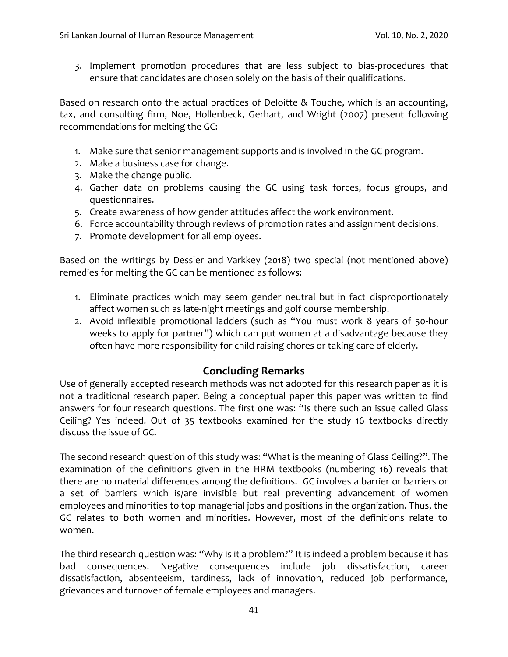3. Implement promotion procedures that are less subject to bias-procedures that ensure that candidates are chosen solely on the basis of their qualifications.

Based on research onto the actual practices of Deloitte & Touche, which is an accounting, tax, and consulting firm, Noe, Hollenbeck, Gerhart, and Wright (2007) present following recommendations for melting the GC:

- 1. Make sure that senior management supports and is involved in the GC program.
- 2. Make a business case for change.
- 3. Make the change public.
- 4. Gather data on problems causing the GC using task forces, focus groups, and questionnaires.
- 5. Create awareness of how gender attitudes affect the work environment.
- 6. Force accountability through reviews of promotion rates and assignment decisions.
- 7. Promote development for all employees.

Based on the writings by Dessler and Varkkey (2018) two special (not mentioned above) remedies for melting the GC can be mentioned as follows:

- 1. Eliminate practices which may seem gender neutral but in fact disproportionately affect women such as late-night meetings and golf course membership.
- 2. Avoid inflexible promotional ladders (such as "You must work 8 years of 50-hour weeks to apply for partner") which can put women at a disadvantage because they often have more responsibility for child raising chores or taking care of elderly.

## **Concluding Remarks**

Use of generally accepted research methods was not adopted for this research paper as it is not a traditional research paper. Being a conceptual paper this paper was written to find answers for four research questions. The first one was: "Is there such an issue called Glass Ceiling? Yes indeed. Out of 35 textbooks examined for the study 16 textbooks directly discuss the issue of GC.

The second research question of this study was: "What is the meaning of Glass Ceiling?". The examination of the definitions given in the HRM textbooks (numbering 16) reveals that there are no material differences among the definitions. GC involves a barrier or barriers or a set of barriers which is/are invisible but real preventing advancement of women employees and minorities to top managerial jobs and positions in the organization. Thus, the GC relates to both women and minorities. However, most of the definitions relate to women.

The third research question was: "Why is it a problem?" It is indeed a problem because it has bad consequences. Negative consequences include job dissatisfaction, career dissatisfaction, absenteeism, tardiness, lack of innovation, reduced job performance, grievances and turnover of female employees and managers.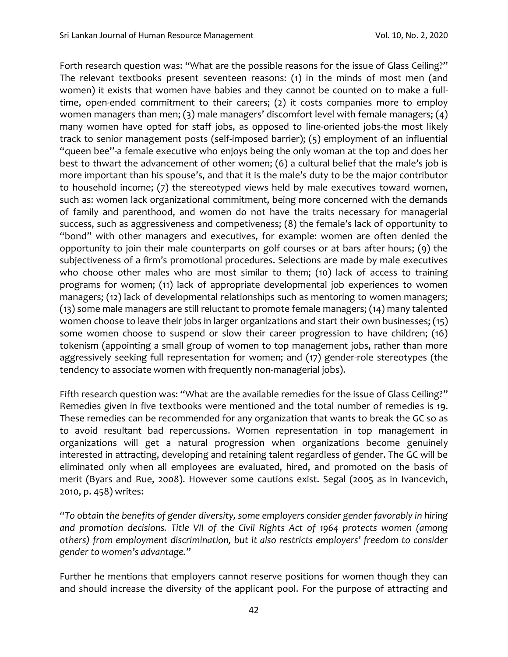Forth research question was: "What are the possible reasons for the issue of Glass Ceiling?" The relevant textbooks present seventeen reasons: (1) in the minds of most men (and women) it exists that women have babies and they cannot be counted on to make a fulltime, open-ended commitment to their careers; (2) it costs companies more to employ women managers than men; (3) male managers' discomfort level with female managers; (4) many women have opted for staff jobs, as opposed to line-oriented jobs-the most likely track to senior management posts (self-imposed barrier); (5) employment of an influential "queen bee''-a female executive who enjoys being the only woman at the top and does her best to thwart the advancement of other women; (6) a cultural belief that the male's job is more important than his spouse's, and that it is the male's duty to be the major contributor to household income; (7) the stereotyped views held by male executives toward women, such as: women lack organizational commitment, being more concerned with the demands of family and parenthood, and women do not have the traits necessary for managerial success, such as aggressiveness and competiveness; (8) the female's lack of opportunity to "bond" with other managers and executives, for example: women are often denied the opportunity to join their male counterparts on golf courses or at bars after hours; (9) the subjectiveness of a firm's promotional procedures. Selections are made by male executives who choose other males who are most similar to them; (10) lack of access to training programs for women; (11) lack of appropriate developmental job experiences to women managers; (12) lack of developmental relationships such as mentoring to women managers; (13) some male managers are still reluctant to promote female managers; (14) many talented women choose to leave their jobs in larger organizations and start their own businesses; (15) some women choose to suspend or slow their career progression to have children; (16) tokenism (appointing a small group of women to top management jobs, rather than more aggressively seeking full representation for women; and (17) gender-role stereotypes (the tendency to associate women with frequently non-managerial jobs).

Fifth research question was: "What are the available remedies for the issue of Glass Ceiling?" Remedies given in five textbooks were mentioned and the total number of remedies is 19. These remedies can be recommended for any organization that wants to break the GC so as to avoid resultant bad repercussions. Women representation in top management in organizations will get a natural progression when organizations become genuinely interested in attracting, developing and retaining talent regardless of gender. The GC will be eliminated only when all employees are evaluated, hired, and promoted on the basis of merit (Byars and Rue, 2008). However some cautions exist. Segal (2005 as in Ivancevich, 2010, p. 458) writes:

*"To obtain the benefits of gender diversity, some employers consider gender favorably in hiring and promotion decisions. Title VII of the Civil Rights Act of 1964 protects women (among others) from employment discrimination, but it also restricts employers' freedom to consider gender to women's advantage."* 

Further he mentions that employers cannot reserve positions for women though they can and should increase the diversity of the applicant pool. For the purpose of attracting and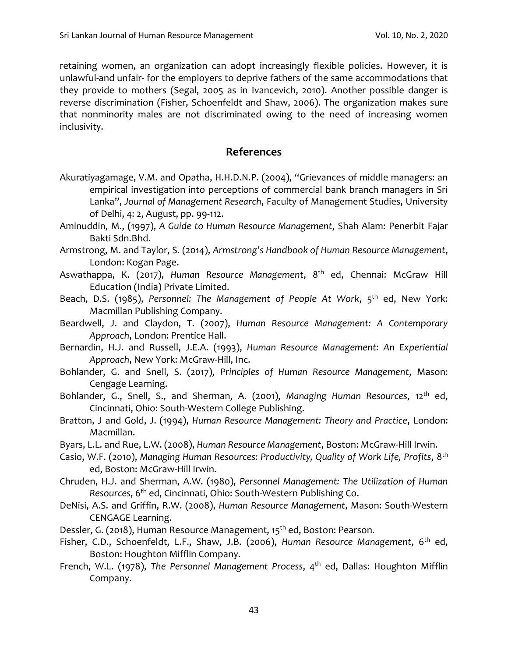retaining women, an organization can adopt increasingly flexible policies. However, it is unlawful-and unfair- for the employers to deprive fathers of the same accommodations that they provide to mothers (Segal, 2005 as in Ivancevich, 2010). Another possible danger is reverse discrimination (Fisher, Schoenfeldt and Shaw, 2006). The organization makes sure that nonminority males are not discriminated owing to the need of increasing women inclusivity.

## **References**

- Akuratiyagamage, V.M. and Opatha, H.H.D.N.P. (2004), "Grievances of middle managers: an empirical investigation into perceptions of commercial bank branch managers in Sri Lanka", *Journal of Management Research*, Faculty of Management Studies, University of Delhi, 4: 2, August, pp. 99-112.
- Aminuddin, M., (1997), *A Guide to Human Resource Management*, Shah Alam: Penerbit Fajar Bakti Sdn.Bhd.
- Armstrong, M. and Taylor, S. (2014), *Armstrong's Handbook of Human Resource Management*, London: Kogan Page.
- Aswathappa, K. (2017), *Human Resource Management*, 8th ed, Chennai: McGraw Hill Education (India) Private Limited.
- Beach, D.S. (1985), *Personnel: The Management of People At Work*, 5<sup>th</sup> ed, New York: Macmillan Publishing Company.
- Beardwell, J. and Claydon, T. (2007), *Human Resource Management: A Contemporary Approach*, London: Prentice Hall.
- Bernardin, H.J. and Russell, J.E.A. (1993), *Human Resource Management: An Experiential Approach*, New York: McGraw-Hill, Inc.
- Bohlander, G. and Snell, S. (2017), *Principles of Human Resource Management*, Mason: Cengage Learning.
- Bohlander, G., Snell, S., and Sherman, A. (2001), *Managing Human Resources*, 12<sup>th</sup> ed, Cincinnati, Ohio: South-Western College Publishing.
- Bratton, J and Gold, J. (1994), *Human Resource Management: Theory and Practice*, London: Macmillan.
- Byars, L.L. and Rue, L.W. (2008), *Human Resource Management*, Boston: McGraw-Hill Irwin.
- Casio, W.F. (2010), *Managing Human Resources: Productivity, Quality of Work Life, Profits*, 8 th ed, Boston: McGraw-Hill Irwin.
- Chruden, H.J. and Sherman, A.W. (1980), *Personnel Management: The Utilization of Human Resources*, 6th ed, Cincinnati, Ohio: South-Western Publishing Co.
- DeNisi, A.S. and Griffin, R.W. (2008), *Human Resource Management*, Mason: South-Western CENGAGE Learning.
- Dessler, G. (2018), Human Resource Management, 15<sup>th</sup> ed, Boston: Pearson.
- Fisher, C.D., Schoenfeldt, L.F., Shaw, J.B. (2006), *Human Resource Management*, 6th ed, Boston: Houghton Mifflin Company.
- French, W.L. (1978), *The Personnel Management Process*, 4<sup>th</sup> ed, Dallas: Houghton Mifflin Company.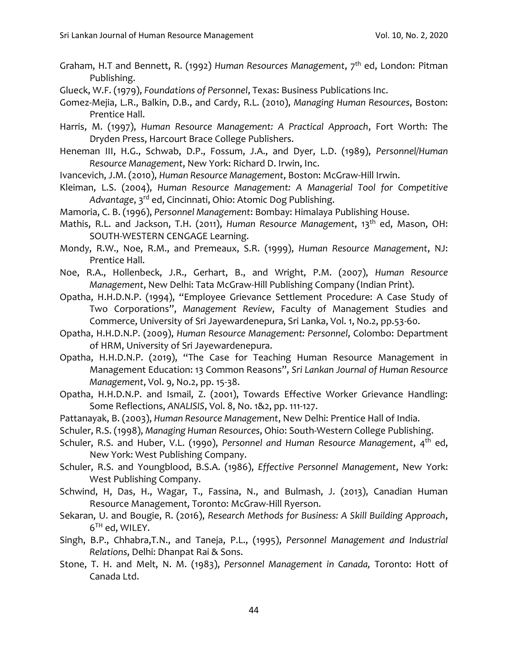Graham, H.T and Bennett, R. (1992) *Human Resources Management*, 7<sup>th</sup> ed, London: Pitman Publishing.

Glueck, W.F. (1979), *Foundations of Personnel*, Texas: Business Publications Inc.

Gomez-Mejia, L.R., Balkin, D.B., and Cardy, R.L. (2010), *Managing Human Resources*, Boston: Prentice Hall.

Harris, M. (1997), *Human Resource Management: A Practical Approach*, Fort Worth: The Dryden Press, Harcourt Brace College Publishers.

- Heneman III, H.G., Schwab, D.P., Fossum, J.A., and Dyer, L.D. (1989), *Personnel/Human Resource Management*, New York: Richard D. Irwin, Inc.
- Ivancevich, J.M. (2010), *Human Resource Management*, Boston: McGraw-Hill Irwin.
- Kleiman, L.S. (2004), *Human Resource Management: A Managerial Tool for Competitive Advantage*, 3rd ed, Cincinnati, Ohio: Atomic Dog Publishing.
- Mamoria, C. B. (1996), *Personnel Management*: Bombay: Himalaya Publishing House.
- Mathis, R.L. and Jackson, T.H. (2011), *Human Resource Management*, 13<sup>th</sup> ed, Mason, OH: SOUTH-WESTERN CENGAGE Learning.
- Mondy, R.W., Noe, R.M., and Premeaux, S.R. (1999), *Human Resource Management*, NJ: Prentice Hall.
- Noe, R.A., Hollenbeck, J.R., Gerhart, B., and Wright, P.M. (2007), *Human Resource Management*, New Delhi: Tata McGraw-Hill Publishing Company (Indian Print).
- Opatha, H.H.D.N.P. (1994), "Employee Grievance Settlement Procedure: A Case Study of Two Corporations", *Management Review*, Faculty of Management Studies and Commerce, University of Sri Jayewardenepura, Sri Lanka, Vol. 1, No.2, pp.53-60.
- Opatha, H.H.D.N.P. (2009), *Human Resource Management: Personnel*, Colombo: Department of HRM, University of Sri Jayewardenepura.
- Opatha, H.H.D.N.P. (2019), "The Case for Teaching Human Resource Management in Management Education: 13 Common Reasons", *Sri Lankan Journal of Human Resource Management*, Vol. 9, No.2, pp. 15-38.
- Opatha, H.H.D.N.P. and Ismail, Z. (2001), Towards Effective Worker Grievance Handling: Some Reflections, *ANALISIS*, Vol. 8, No. 1&2, pp. 111-127.
- Pattanayak, B. (2003), *Human Resource Management*, New Delhi: Prentice Hall of India.
- Schuler, R.S. (1998), *Managing Human Resources*, Ohio: South-Western College Publishing.
- Schuler, R.S. and Huber, V.L. (1990), *Personnel and Human Resource Management*, 4th ed, New York: West Publishing Company.
- Schuler, R.S. and Youngblood, B.S.A. (1986), *Effective Personnel Management*, New York: West Publishing Company.
- Schwind, H, Das, H., Wagar, T., Fassina, N., and Bulmash, J. (2013), Canadian Human Resource Management, Toronto: McGraw-Hill Ryerson.
- Sekaran, U. and Bougie, R. (2016), *Research Methods for Business: A Skill Building Approach*,  $6^{TH}$  ed, WILEY.
- Singh, B.P., Chhabra,T.N., and Taneja, P.L., (1995), *Personnel Management and Industrial Relations*, Delhi: Dhanpat Rai & Sons.
- Stone, T. H. and Melt, N. M. (1983), *Personnel Management in Canada,* Toronto: Hott of Canada Ltd.